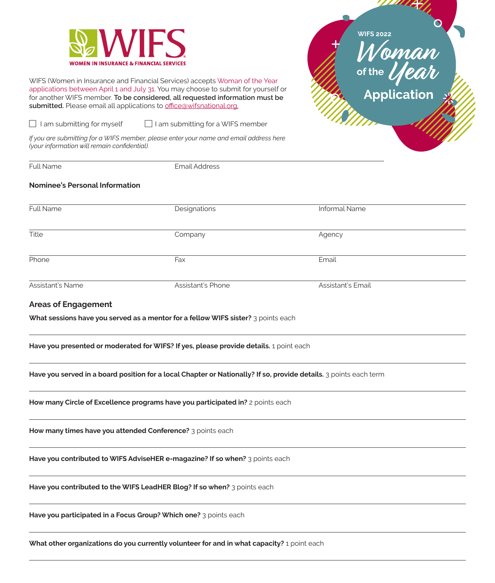

WIFS (Women in Insurance and Financial Services) accepts Woman of the Year applications between April 1 and July 31. You may choose to submit for yourself or for another WIFS member. **To be considered, all requested information must be**  submitted. Please email all applications to **[office@wifsnational.org](mailto:office@wifsnational.org.).** 

 $\Box$  I am submitting for myself  $\Box$  I am submitting for a WIFS member

*If you are submitting for a WIFS member, please enter your name and email address here (your information will remain confidential).*

Full Name Email Address

## **Nominee's Personal Information**

| Full Name        | Designations      | <b>Informal Name</b> |  |
|------------------|-------------------|----------------------|--|
| Title            | Company           | Agency               |  |
| Phone            | Fax               | Email                |  |
| Assistant's Name | Assistant's Phone | Assistant's Email    |  |

**WIFS**

**2022**

**Woman Year**

**of the**

## **Areas of Engagement**

**What sessions have you served as a mentor for a fellow WIFS sister?** 3 points each

**Have you presented or moderated for WIFS? If yes, please provide details.** 1 point each

**Have you served in a board position for a local Chapter or Nationally? If so, provide details.** 3 points each term

**How many Circle of Excellence programs have you participated in?** 2 points each

**How many times have you attended Conference?** 3 points each

**Have you contributed to WIFS AdviseHER e-magazine? If so when?** 3 points each

**Have you contributed to the WIFS LeadHER Blog? If so when?** 3 points each

**Have you participated in a Focus Group? Which one?** 3 points each

**What other organizations do you currently volunteer for and in what capacity?** 1 point each